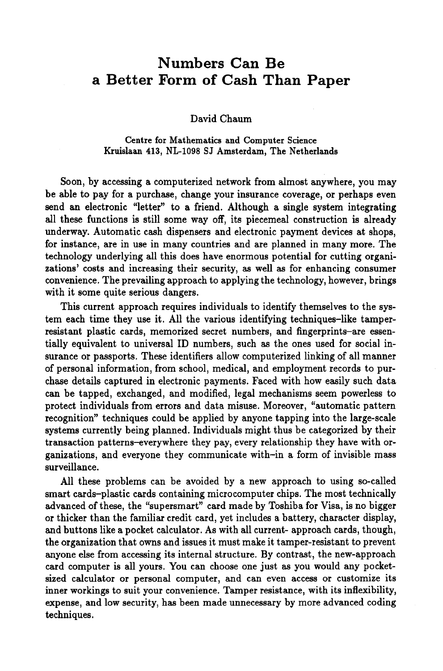# **Numbers Can Be a Better Form of Cash Than Paper**

David Chaum

**Centre** for Mathematics and Computer Science Kruislaan 413, NL-1098 SJ Amsterdam, The Netherlands

Soon, by accessing a computerized network from almost anywhere, you may be able to pay for a purchase, change your insurance coverage, or perhaps even send an electronic "letter" to a friend. Although a single system integrating all these functions is still some way off, its piecemeal construction is already underway. Automatic cash dispensers and electronic payment devices at shops, for instance, are in use in many countries and are planned in many more. The technology underlying all this does have enormous potential for cutting organizations' costs and increasing their security, as well as for enhancing consumer convenience. The prevailing approach to applying the technology, however, brings with it some quite serious dangers.

This current approach requires individuals to identify themselves to the system each time they use it. All the various identifying techniques-like tamperresistant plastic cards, memorized secret numbers, and fingerprints-are essentially equivalent to universal ID numbers, such as the ones used for social insurance or passports. These identifiers allow computerized linking of all manner of personal information, from school, medical, and employment records to purchase details captured in electronic payments. Faced with how easily such data can be tapped, exchanged, and modified, legal mechanisms seem powerless to protect individuals from errors and data misuse. Moreover, "automatic pattern recognition" techniques could be applied by anyone tapping into the large-scale systems currently being planned. Individuals might thus be categorized by their transaction patterns-everywhere they pay, every relationship they have with organizations, and everyone they communicate with-in a form of invisible mass surveillance.

All these problems can be avoided by a new approach to using so-called smart cards-plastic cards containing microcomputer chips. The most technically advanced of these, the "supersmart" card made by Toshiba for Visa, is no bigger or thicker than the familiar credit card, yet includes a battery, character display, and buttons like a pocket calculator. As with all current- approach cards, though, the organization that owns and issues it must make it tamper-resistant to prevent anyone else from accessing its internal structure. By contrast, the new-approach card computer is all yours. You can choose one just as you would any pocketsized calculator or personal computer, and can even access or customize its inner workings to suit your convenience. Tamper resistance, with its inflexibility, expense, and low security, has been made unnecessary by more advanced coding techniques.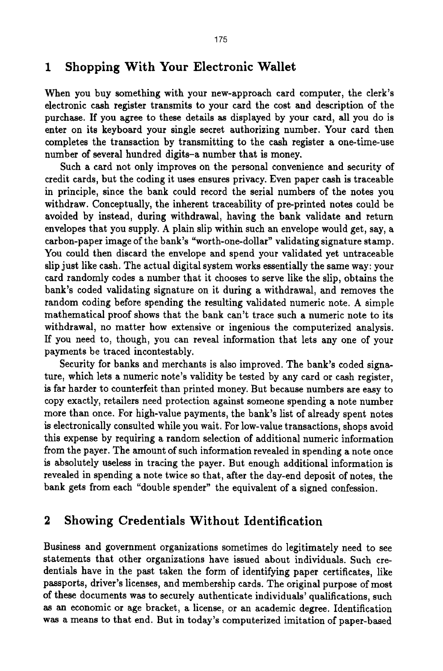# **1 Shopping With Your Electronic Wallet**

**When** you buy something with your new-approach card computer, the clerk's electronic cash register transmits to your card the cost and description of the purchase. If you agree to these details as displayed by your card, all you do is enter on its keyboard your single secret authorizing number. Your card then completes the transaction by transmitting to the cash register a one-time-use number of several hundred digits-a number that is money.

Such a card not only improves on the personal convenience and security of credit cards, but the coding it uses ensures privacy. Even paper cash is traceable in principle, since the bank could record the serial numbers of the notes you withdraw. Conceptually, the inherent traceability of pre-printed notes could be avoided by instead, during withdrawal, having the bank validate and return envelopes that you supply. A plain slip within such an envelope would get, say, a carbon-paper image of the bank's "worth-one-dollar" validating signature stamp. You could then discard the envelope and spend your validated yet untraceable slip just like cash. The actual digital system works essentially the same way: your card randomly codes a number that it chooses to serve like the slip, obtains the bank's coded validating signature on it during a withdrawal, and removes the random coding before spending the resulting validated numeric note. A simple mathematical proof shows that the bank can't trace such a numeric note to its withdrawal, no matter how extensive or ingenious the computerized analysis. If you need to, though, you can reveal information that lets any one of your payments be traced incontestably.

Security for banks and merchants is also improved. The bank's coded signature, which lets a numeric note's validity be tested by any card or cash register, is far harder to counterfeit than printed money. But because numbers are easy to copy exactly, retailers need protection against someone spending a note number more than once. For high-value payments, the bank's list of already spent notes is electronically consulted while you wait. For low-value transactions, shops avoid this expense by requiring a random selection of additional numeric information from the payer. The amount of such information revealed in spending a note once is absolutely useless in tracing the payer. But enough additional information is revealed in spending a note twice so that, after the day-end deposit of notes, the bank gets from each "double spender" the equivalent of a signed confession.

#### **2 Showing Credentials Without Identification**

Business and government organizations sometimes do legitimately need to see statements that other organizations have issued about individuals. Such credentials have in the past taken the form of identifying paper certificates, like passports, driver's licenses, and membership cards. The original purpose of most of these documents was to securely authenticate individuals' qualifications, such as an economic or age bracket, a license, or an academic degree. Identification was a means to that end. But in today's computerized imitation of paper-based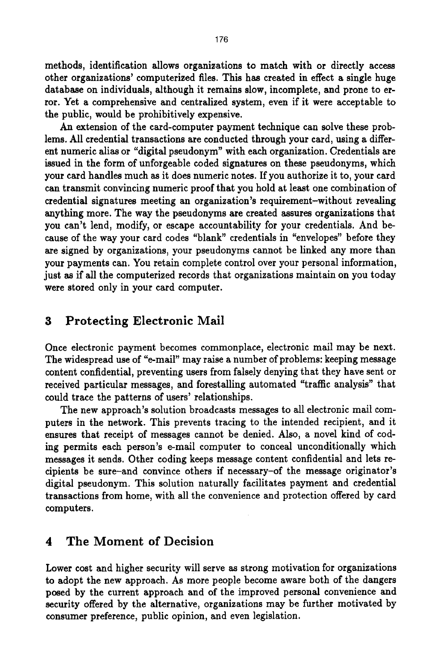methods, identification allows organizations to match with or directly access other organizations' computerized files. This has created in effect a single huge database on individuals, although it remains slow, incomplete, and prone to error. Yet a comprehensive and centralized system, even if it were acceptable to the public, would be prohibitively expensive.

An extension of the card-computer payment technique can solve these problems. All credential transactions are conducted through your card, using a different numeric alias or "digital pseudonym" with each organization. Credentials are issued in the form of unforgeable coded signatures on these pseudonyms, which your card handles much as it does numeric notes. If you authorize it to, your card can transmit convincing numeric proof that you hold at least one combination of credential signatures meeting an organization's requirement-without revealing anything more. The way the pseudonyms are created assures organizations that you can't lend, modify, or escape accountability for your credentials. And because of the way your card codes "blank" credentials in "envelopes" before they are signed by organizations, your pseudonyms cannot be linked any more than your payments can. You retain complete control over your personal information, just as if all the computerized records that organizations maintain on you today were stored only in your card computer.

### **3 Protecting Electronic Mail**

Once electronic payment becomes commonplace, electronic mail may be next. The widespread use of "e-mail" may raise a number of problems: keeping message content confidential, preventing users from falsely denying that they have sent or received particular messages, and forestalling automated "traffic analysis" that could trace the patterns of users' relationships.

The new approach's solution broadcasts messages to all electronic mail computers in the network. This prevents tracing to the intended recipient, and it ensures that receipt of messages cannot be denied. Also, a novel kind of coding permits each person's e-mail computer to conceal unconditionally which messages it sends. Other coding keeps message content confidential and lets recipients be sure-and convince others if necessary-of the message originator's digital pseudonym. This solution naturally facilitates payment and credential transactions from home, with all the convenience and protection offered by card computers.

## **4 The Moment of Decision**

Lower cost and higher security will serve as strong motivation for organizations to adopt the new approach. As more people become aware both of the dangers posed by the current approach and of the improved personal convenience and security offered by the alternative, organizations may be further motivated by consumer preference, public opinion, and even legislation.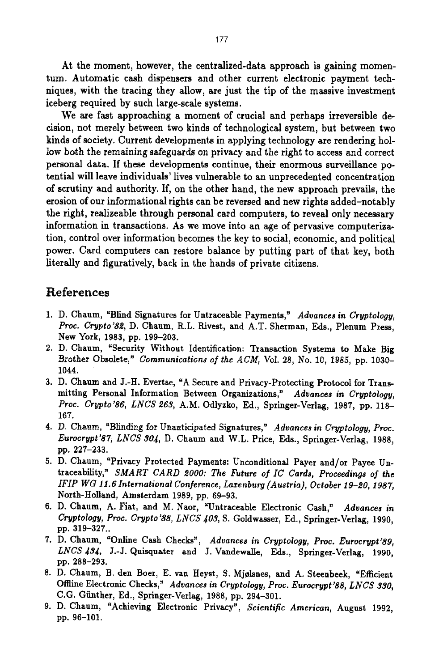At the moment, however, the centralized-data approach is gaining momentum. Automatic cash dispensers and other current electronic payment techniques, with the tracing they allow, are just the tip of the massive investment iceberg required by such large-scale systems.

We are fast approaching a moment of crucial and perhaps irreversible decision, not merely between two kinds of technological system, but between two kinds of society. Current developments in applying technology are rendering hollow both the remaining safeguards on privacy and the right to access and correct personal data. If these developments continue, their enormous surveillance potential will leave individuals' lives vulnerable to an unprecedented concentration of scrutiny and authority. If, on the other hand, the new approach prevails, the erosion of our informational rights can be reversed and new rights added-notably the right, realizeable through personal card computers, to reveal only necessary information in transactions. As we move into an age of pervasive computerization, control over information becomes the key to social, economic, and political power. Card computers can restore balance by putting part of that key, both literally and figuratively, back in the hands of private citizens.

#### References

- 1. D. Chanm, "Blind Signatures for Untraceable Payments," *Advances in Cryptology,*  Proc. Crypto'82, D. Chaum, R.L. Rivest, and A.T. Sherman, Eds., Plenum Press, New York, 1983, pp. 199-203.
- 2. D. Chaum, "Security Without Identification: Transaction Systems to Make Big Brother Obsolete," *Communications of the ACM,* Vol. 28, No. 10, *1985,* pp. 1030- 1044.
- 3. D. Chaum and J.-H. Evertse, "A Secure and Privacy-Protecting Protocol for Transmitting Personal Information Between Organizations," *Advances in Cryptology, Proc. Crypto'86, LNCS ~63,* A.M. Odlyzko, Ed., Springer-Veflag, 1987, pp. 118- 167.
- 4. D. Chaum, "Blinding for Unanticipated Signatures," *Advances in Cryptology, Proc. Eurocrypt'87, LNCS 30J,* D. Chaum and W.L. Price, Eds., Springer-Verlag, 1988, pp. 227-233.
- 5. D. Chaum, "Privacy Protected Payments: Unconditional Payer and/or Payee Untraceability," *SMART CARD ~000: The Future of IC Cards, Proceedings of the IFIP WG 11.6 International Conference, Laxenburg (Austria), October 19-20, 1987,* North-Holland, Amsterdam 1989, pp. 69-93.
- 6. D. Chanm, A. Fiat, and M. Naor, "Untraceable Electronic Cash," *Advances in Cryptology, Proc. Crypto'88, LNCS* 403, S. Goldwasser, Ed., Springer-Verlag, 1990, pp. 319-327..
- 7. D. Chanm, "Online Cash Checks", *Advances in Cryptology, Proc. Eurocrypt'89,*  LNCS 434, J.-J. Quisquater and J. Vandewalle, Eds., Springer-Verlag, 1990, pp. 288-293.
- 8. D. Chaum, B. den Boer, E. van Heyst, S. Mjølsnes, and A. Steenbeek, "Efficient Offline Electronic Checks," *Advances in Cryptology, Proc. Eurocrypt'88, LNCS 330*, C.G. Günther, Ed., Springer-Verlag, 1988, pp. 294-301.
- 9. D. Chaum, "Achieving Electronic Privacy", *Scientific American,* August 1992, pp. 96-101.